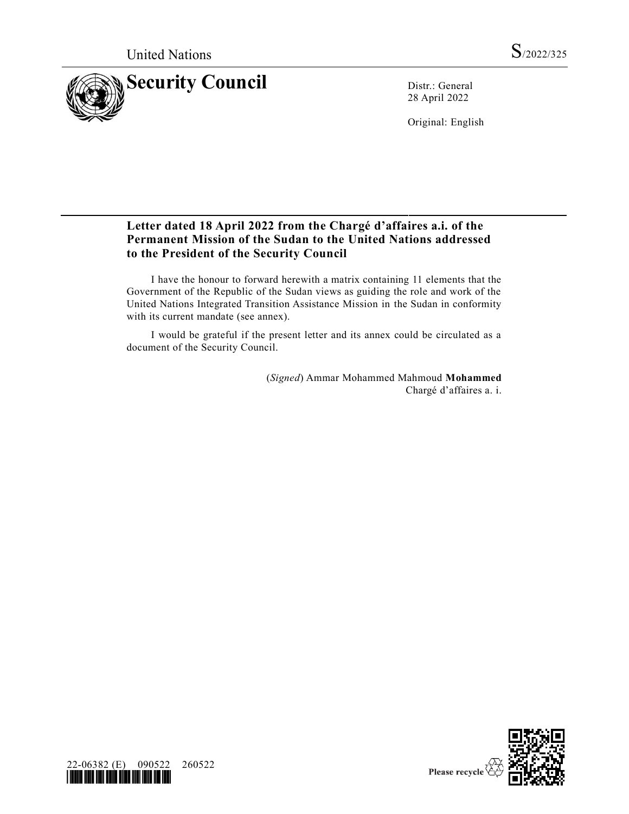

28 April 2022

Original: English

## **Letter dated 18 April 2022 from the Chargé d'affaires a.i. of the Permanent Mission of the Sudan to the United Nations addressed to the President of the Security Council**

I have the honour to forward herewith a matrix containing 11 elements that the Government of the Republic of the Sudan views as guiding the role and work of the United Nations Integrated Transition Assistance Mission in the Sudan in conformity with its current mandate (see annex).

I would be grateful if the present letter and its annex could be circulated as a document of the Security Council.

> (*Signed*) Ammar Mohammed Mahmoud **Mohammed** Chargé d'affaires a. i.



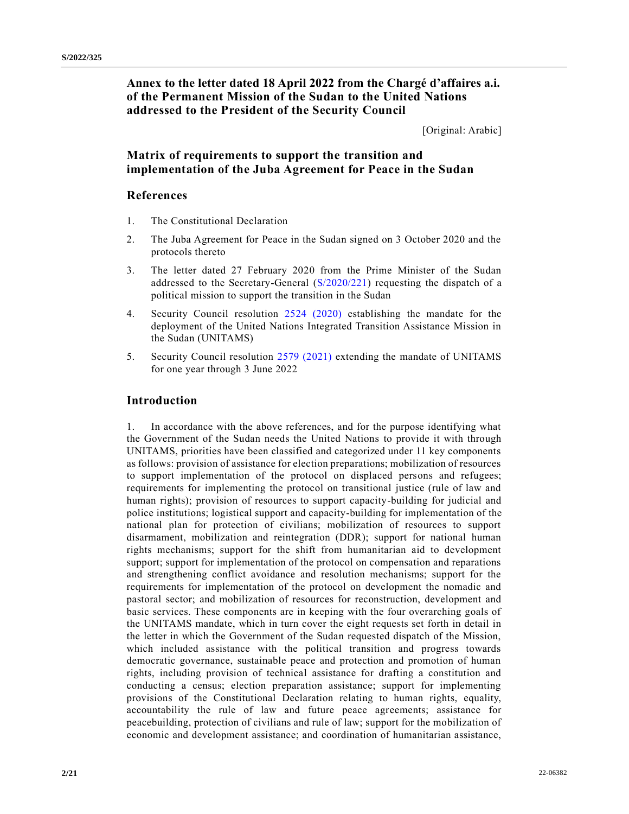**Annex to the letter dated 18 April 2022 from the Chargé d'affaires a.i. of the Permanent Mission of the Sudan to the United Nations addressed to the President of the Security Council**

[Original: Arabic]

## **Matrix of requirements to support the transition and implementation of the Juba Agreement for Peace in the Sudan**

## **References**

- 1. The Constitutional Declaration
- 2. The Juba Agreement for Peace in the Sudan signed on 3 October 2020 and the protocols thereto
- 3. The letter dated 27 February 2020 from the Prime Minister of the Sudan addressed to the Secretary-General [\(S/2020/221\)](https://undocs.org/en/S/2020/221) requesting the dispatch of a political mission to support the transition in the Sudan
- 4. Security Council resolution [2524 \(2020\)](https://undocs.org/en/S/RES/2524(2020)) establishing the mandate for the deployment of the United Nations Integrated Transition Assistance Mission in the Sudan (UNITAMS)
- 5. Security Council resolution [2579 \(2021\)](https://undocs.org/en/S/RES/2579(2021)) extending the mandate of UNITAMS for one year through 3 June 2022

## **Introduction**

1. In accordance with the above references, and for the purpose identifying what the Government of the Sudan needs the United Nations to provide it with through UNITAMS, priorities have been classified and categorized under 11 key components as follows: provision of assistance for election preparations; mobilization of resources to support implementation of the protocol on displaced persons and refugees; requirements for implementing the protocol on transitional justice (rule of law and human rights); provision of resources to support capacity-building for judicial and police institutions; logistical support and capacity-building for implementation of the national plan for protection of civilians; mobilization of resources to support disarmament, mobilization and reintegration (DDR); support for national human rights mechanisms; support for the shift from humanitarian aid to development support; support for implementation of the protocol on compensation and reparations and strengthening conflict avoidance and resolution mechanisms; support for the requirements for implementation of the protocol on development the nomadic and pastoral sector; and mobilization of resources for reconstruction, development and basic services. These components are in keeping with the four overarching goals of the UNITAMS mandate, which in turn cover the eight requests set forth in detail in the letter in which the Government of the Sudan requested dispatch of the Mission, which included assistance with the political transition and progress towards democratic governance, sustainable peace and protection and promotion of human rights, including provision of technical assistance for drafting a constitution and conducting a census; election preparation assistance; support for implementing provisions of the Constitutional Declaration relating to human rights, equality, accountability the rule of law and future peace agreements; assistance for peacebuilding, protection of civilians and rule of law; support for the mobilization of economic and development assistance; and coordination of humanitarian assistance,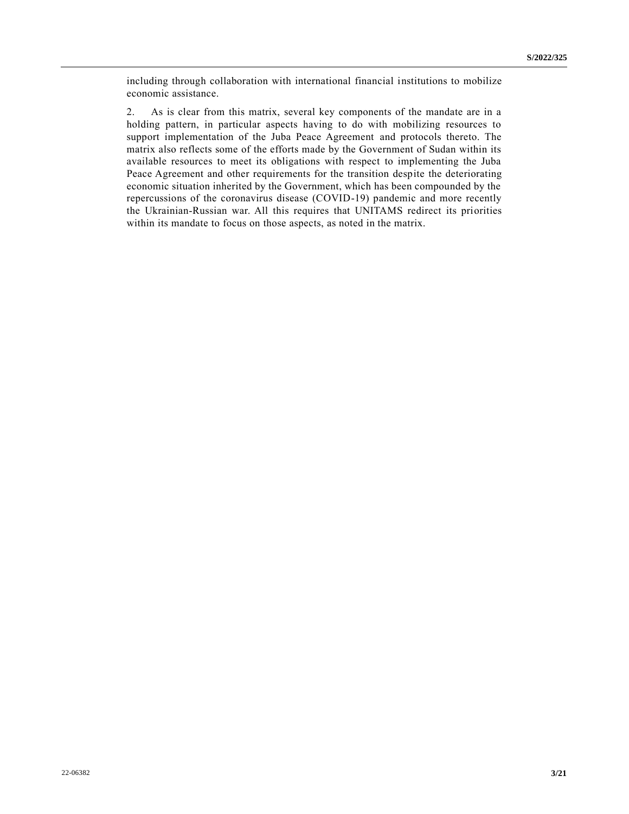including through collaboration with international financial institutions to mobilize economic assistance.

2. As is clear from this matrix, several key components of the mandate are in a holding pattern, in particular aspects having to do with mobilizing resources to support implementation of the Juba Peace Agreement and protocols thereto. The matrix also reflects some of the efforts made by the Government of Sudan within its available resources to meet its obligations with respect to implementing the Juba Peace Agreement and other requirements for the transition despite the deteriorating economic situation inherited by the Government, which has been compounded by the repercussions of the coronavirus disease (COVID-19) pandemic and more recently the Ukrainian-Russian war. All this requires that UNITAMS redirect its priorities within its mandate to focus on those aspects, as noted in the matrix.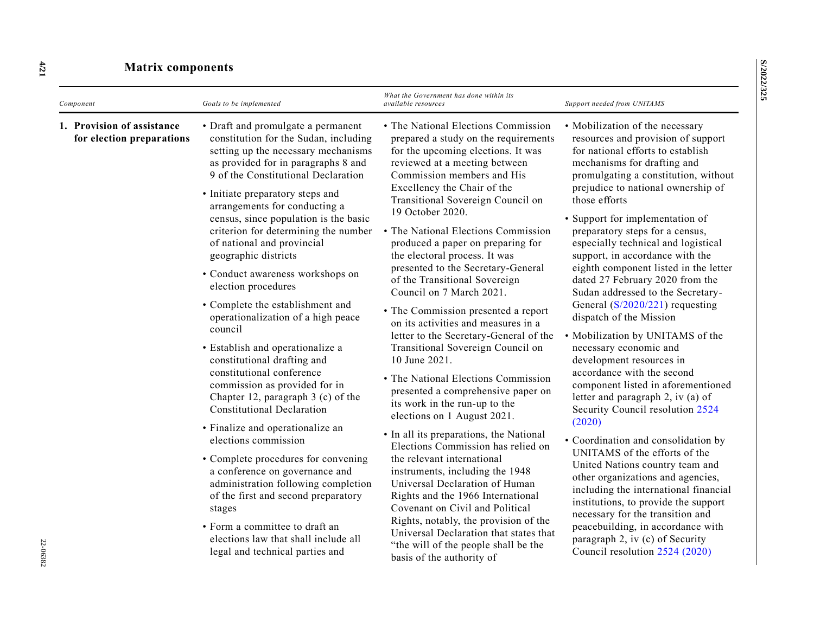| Component                                               | Goals to be implemented                                                                                                                                                                                                                                                                                                                                                                                                                                                                                                                                                                                                                                                                                                                                                                                                                                                                                                                                                                                                                                                                                            | What the Government has done within its<br><i>available resources</i>                                                                                                                                                                                                                                                                                                                                                                                                                                                                                                                                                                                                                                                                                                                                                                                                                                                                                                                                                                                                                                                                                                                                                                   | Support needed from UNITAMS                                                                                                                                                                                                                                                                                                                                                                                                                                                                                                                                                                                                                                                                                                                                                                                                                                                                                                                                                                                                                                                                                                                                                                               |
|---------------------------------------------------------|--------------------------------------------------------------------------------------------------------------------------------------------------------------------------------------------------------------------------------------------------------------------------------------------------------------------------------------------------------------------------------------------------------------------------------------------------------------------------------------------------------------------------------------------------------------------------------------------------------------------------------------------------------------------------------------------------------------------------------------------------------------------------------------------------------------------------------------------------------------------------------------------------------------------------------------------------------------------------------------------------------------------------------------------------------------------------------------------------------------------|-----------------------------------------------------------------------------------------------------------------------------------------------------------------------------------------------------------------------------------------------------------------------------------------------------------------------------------------------------------------------------------------------------------------------------------------------------------------------------------------------------------------------------------------------------------------------------------------------------------------------------------------------------------------------------------------------------------------------------------------------------------------------------------------------------------------------------------------------------------------------------------------------------------------------------------------------------------------------------------------------------------------------------------------------------------------------------------------------------------------------------------------------------------------------------------------------------------------------------------------|-----------------------------------------------------------------------------------------------------------------------------------------------------------------------------------------------------------------------------------------------------------------------------------------------------------------------------------------------------------------------------------------------------------------------------------------------------------------------------------------------------------------------------------------------------------------------------------------------------------------------------------------------------------------------------------------------------------------------------------------------------------------------------------------------------------------------------------------------------------------------------------------------------------------------------------------------------------------------------------------------------------------------------------------------------------------------------------------------------------------------------------------------------------------------------------------------------------|
| 1. Provision of assistance<br>for election preparations | • Draft and promulgate a permanent<br>constitution for the Sudan, including<br>setting up the necessary mechanisms<br>as provided for in paragraphs 8 and<br>9 of the Constitutional Declaration<br>• Initiate preparatory steps and<br>arrangements for conducting a<br>census, since population is the basic<br>criterion for determining the number<br>of national and provincial<br>geographic districts<br>• Conduct awareness workshops on<br>election procedures<br>• Complete the establishment and<br>operationalization of a high peace<br>council<br>· Establish and operationalize a<br>constitutional drafting and<br>constitutional conference<br>commission as provided for in<br>Chapter 12, paragraph 3 (c) of the<br><b>Constitutional Declaration</b><br>• Finalize and operationalize an<br>elections commission<br>• Complete procedures for convening<br>a conference on governance and<br>administration following completion<br>of the first and second preparatory<br>stages<br>• Form a committee to draft an<br>elections law that shall include all<br>legal and technical parties and | • The National Elections Commission<br>prepared a study on the requirements<br>for the upcoming elections. It was<br>reviewed at a meeting between<br>Commission members and His<br>Excellency the Chair of the<br>Transitional Sovereign Council on<br>19 October 2020.<br>• The National Elections Commission<br>produced a paper on preparing for<br>the electoral process. It was<br>presented to the Secretary-General<br>of the Transitional Sovereign<br>Council on 7 March 2021.<br>• The Commission presented a report<br>on its activities and measures in a<br>letter to the Secretary-General of the<br>Transitional Sovereign Council on<br>10 June 2021.<br>• The National Elections Commission<br>presented a comprehensive paper on<br>its work in the run-up to the<br>elections on 1 August 2021.<br>• In all its preparations, the National<br>Elections Commission has relied on<br>the relevant international<br>instruments, including the 1948<br>Universal Declaration of Human<br>Rights and the 1966 International<br>Covenant on Civil and Political<br>Rights, notably, the provision of the<br>Universal Declaration that states that<br>"the will of the people shall be the<br>basis of the authority of | • Mobilization of the necessary<br>resources and provision of support<br>for national efforts to establish<br>mechanisms for drafting and<br>promulgating a constitution, without<br>prejudice to national ownership of<br>those efforts<br>• Support for implementation of<br>preparatory steps for a census,<br>especially technical and logistical<br>support, in accordance with the<br>eighth component listed in the letter<br>dated 27 February 2020 from the<br>Sudan addressed to the Secretary-<br>General $(S/2020/221)$ requesting<br>dispatch of the Mission<br>• Mobilization by UNITAMS of the<br>necessary economic and<br>development resources in<br>accordance with the second<br>component listed in aforementioned<br>letter and paragraph 2, iv (a) of<br>Security Council resolution 2524<br>(2020)<br>• Coordination and consolidation by<br>UNITAMS of the efforts of the<br>United Nations country team and<br>other organizations and agencies,<br>including the international financial<br>institutions, to provide the support<br>necessary for the transition and<br>peacebuilding, in accordance with<br>paragraph 2, iv (c) of Security<br>Council resolution 2524 (2020) |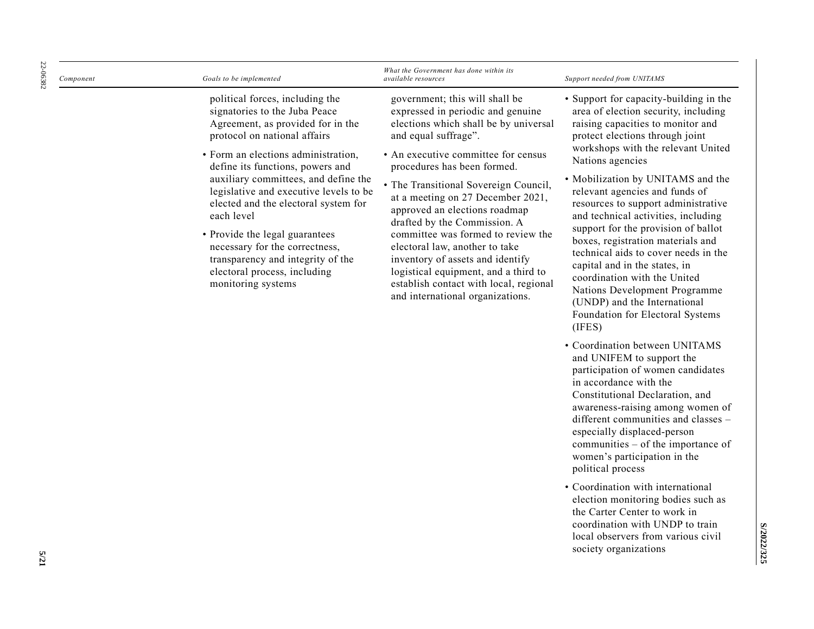| 22-06382 | Component | Goals to be implemented                                                                                                                                                                                                                                                                                                                                                                                                                                                                                                 | What the Government has done within its<br>available resources                                                                                                                                                                                                                                                                                                                                                                                                                                                                                                                              | Support needed from UNITAMS                                                                                                                                                                                                                                                                                                                                                                                                                                                                                                                                                                                                                                               |
|----------|-----------|-------------------------------------------------------------------------------------------------------------------------------------------------------------------------------------------------------------------------------------------------------------------------------------------------------------------------------------------------------------------------------------------------------------------------------------------------------------------------------------------------------------------------|---------------------------------------------------------------------------------------------------------------------------------------------------------------------------------------------------------------------------------------------------------------------------------------------------------------------------------------------------------------------------------------------------------------------------------------------------------------------------------------------------------------------------------------------------------------------------------------------|---------------------------------------------------------------------------------------------------------------------------------------------------------------------------------------------------------------------------------------------------------------------------------------------------------------------------------------------------------------------------------------------------------------------------------------------------------------------------------------------------------------------------------------------------------------------------------------------------------------------------------------------------------------------------|
|          |           | political forces, including the<br>signatories to the Juba Peace<br>Agreement, as provided for in the<br>protocol on national affairs<br>• Form an elections administration,<br>define its functions, powers and<br>auxiliary committees, and define the<br>legislative and executive levels to be<br>elected and the electoral system for<br>each level<br>• Provide the legal guarantees<br>necessary for the correctness,<br>transparency and integrity of the<br>electoral process, including<br>monitoring systems | government; this will shall be<br>expressed in periodic and genuine<br>elections which shall be by universal<br>and equal suffrage".<br>• An executive committee for census<br>procedures has been formed.<br>• The Transitional Sovereign Council,<br>at a meeting on 27 December 2021,<br>approved an elections roadmap<br>drafted by the Commission. A<br>committee was formed to review the<br>electoral law, another to take<br>inventory of assets and identify<br>logistical equipment, and a third to<br>establish contact with local, regional<br>and international organizations. | • Support for capacity-building in the<br>area of election security, including<br>raising capacities to monitor and<br>protect elections through joint<br>workshops with the relevant United<br>Nations agencies<br>• Mobilization by UNITAMS and the<br>relevant agencies and funds of<br>resources to support administrative<br>and technical activities, including<br>support for the provision of ballot<br>boxes, registration materials and<br>technical aids to cover needs in the<br>capital and in the states, in<br>coordination with the United<br>Nations Development Programme<br>(UNDP) and the International<br>Foundation for Electoral Systems<br>(IFES) |
|          |           |                                                                                                                                                                                                                                                                                                                                                                                                                                                                                                                         |                                                                                                                                                                                                                                                                                                                                                                                                                                                                                                                                                                                             | • Coordination between UNITAMS                                                                                                                                                                                                                                                                                                                                                                                                                                                                                                                                                                                                                                            |

- Coordination between UNITAMS and UNIFEM to support the participation of women candidates in accordance with the Constitutional Declaration, and awareness -raising among women of different communities and classes – especially displaced -person communities – of the importance of women's participation in the political process
- Coordination with international election monitoring bodies such as the Carter Center to work in coordination with UNDP to train local observers from various civil society organizations

**S/2022/325**

S/2022/325

**5/21**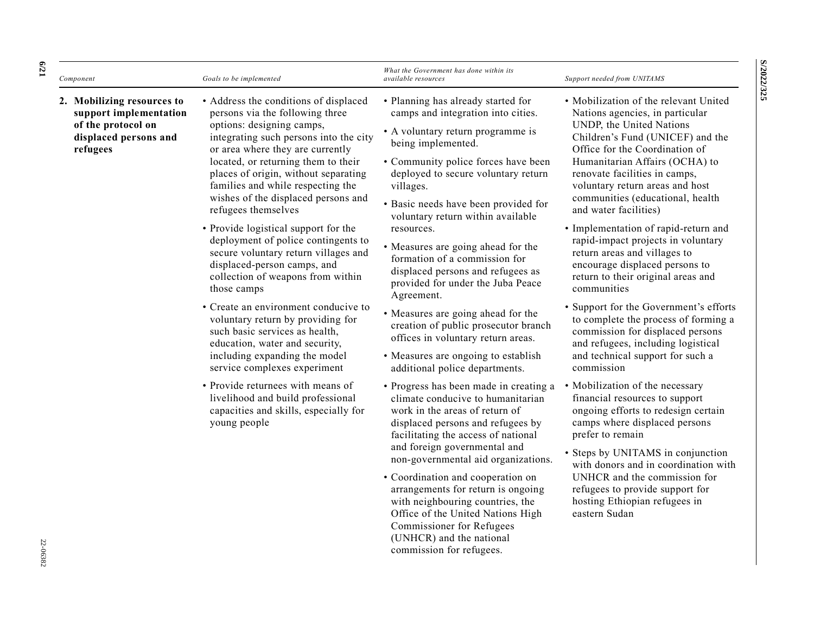| Component                                                                                                       | Goals to be implemented                                                                                                                                                                                                                                                                                                                                                                                                                                                                                                                                                                                                                                                                                                                                                                           | What the Government has done within its<br>available resources                                                                                                                                                                                                                                                                                                                                                                                                                                                                                                                                                                                                                        | Support needed from UNITAMS                                                                                                                                                                                                                                                                                                                                                                                                                                                                                                                                                                                                                                                                                                                                      |
|-----------------------------------------------------------------------------------------------------------------|---------------------------------------------------------------------------------------------------------------------------------------------------------------------------------------------------------------------------------------------------------------------------------------------------------------------------------------------------------------------------------------------------------------------------------------------------------------------------------------------------------------------------------------------------------------------------------------------------------------------------------------------------------------------------------------------------------------------------------------------------------------------------------------------------|---------------------------------------------------------------------------------------------------------------------------------------------------------------------------------------------------------------------------------------------------------------------------------------------------------------------------------------------------------------------------------------------------------------------------------------------------------------------------------------------------------------------------------------------------------------------------------------------------------------------------------------------------------------------------------------|------------------------------------------------------------------------------------------------------------------------------------------------------------------------------------------------------------------------------------------------------------------------------------------------------------------------------------------------------------------------------------------------------------------------------------------------------------------------------------------------------------------------------------------------------------------------------------------------------------------------------------------------------------------------------------------------------------------------------------------------------------------|
| 2. Mobilizing resources to<br>support implementation<br>of the protocol on<br>displaced persons and<br>refugees | • Address the conditions of displaced<br>persons via the following three<br>options: designing camps,<br>integrating such persons into the city<br>or area where they are currently<br>located, or returning them to their<br>places of origin, without separating<br>families and while respecting the<br>wishes of the displaced persons and<br>refugees themselves<br>• Provide logistical support for the<br>deployment of police contingents to<br>secure voluntary return villages and<br>displaced-person camps, and<br>collection of weapons from within<br>those camps<br>• Create an environment conducive to<br>voluntary return by providing for<br>such basic services as health,<br>education, water and security,<br>including expanding the model<br>service complexes experiment | • Planning has already started for<br>camps and integration into cities.<br>• A voluntary return programme is<br>being implemented.<br>• Community police forces have been<br>deployed to secure voluntary return<br>villages.<br>• Basic needs have been provided for<br>voluntary return within available<br>resources.<br>• Measures are going ahead for the<br>formation of a commission for<br>displaced persons and refugees as<br>provided for under the Juba Peace<br>Agreement.<br>• Measures are going ahead for the<br>creation of public prosecutor branch<br>offices in voluntary return areas.<br>• Measures are ongoing to establish<br>additional police departments. | • Mobilization of the relevant United<br>Nations agencies, in particular<br>UNDP, the United Nations<br>Children's Fund (UNICEF) and the<br>Office for the Coordination of<br>Humanitarian Affairs (OCHA) to<br>renovate facilities in camps,<br>voluntary return areas and host<br>communities (educational, health<br>and water facilities)<br>· Implementation of rapid-return and<br>rapid-impact projects in voluntary<br>return areas and villages to<br>encourage displaced persons to<br>return to their original areas and<br>communities<br>• Support for the Government's efforts<br>to complete the process of forming a<br>commission for displaced persons<br>and refugees, including logistical<br>and technical support for such a<br>commission |
|                                                                                                                 | • Provide returnees with means of<br>livelihood and build professional<br>capacities and skills, especially for<br>young people                                                                                                                                                                                                                                                                                                                                                                                                                                                                                                                                                                                                                                                                   | • Progress has been made in creating a<br>climate conducive to humanitarian<br>work in the areas of return of<br>displaced persons and refugees by<br>facilitating the access of national<br>and foreign governmental and<br>non-governmental aid organizations.<br>• Coordination and cooperation on<br>arrangements for return is ongoing<br>with neighbouring countries, the<br>Office of the United Nations High<br>Commissioner for Refugees<br>(UNHCR) and the national<br>commission for refugees.                                                                                                                                                                             | • Mobilization of the necessary<br>financial resources to support<br>ongoing efforts to redesign certain<br>camps where displaced persons<br>prefer to remain<br>• Steps by UNITAMS in conjunction<br>with donors and in coordination with<br>UNHCR and the commission for<br>refugees to provide support for<br>hosting Ethiopian refugees in<br>eastern Sudan                                                                                                                                                                                                                                                                                                                                                                                                  |

**S/2022/325 S/2022/325**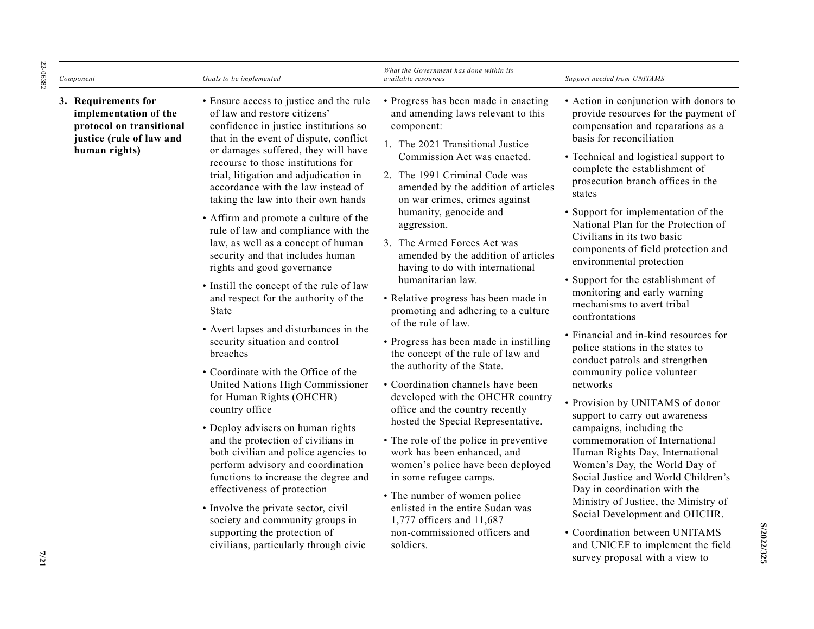| Component                                                                                                             | Goals to be implemented                                                                                                                                                                                                                                                                                                                                                                                                                                                                                                                                                                                                                                                                                                                                                                                                                                                                                                                                                                                                                                                                                                                                                                                                                                      | What the Government has done within its<br>available resources                                                                                                                                                                                                                                                                                                                                                                                                                                                                                                                                                                                                                                                                                                                                                                                                                                                                                                                                                                                                                                            | Support needed from UNITAMS                                                                                                                                                                                                                                                                                                                                                                                                                                                                                                                                                                                                                                                                                                                                                                                                                                                                                                                                                                                                                                                                                                                                                                           |
|-----------------------------------------------------------------------------------------------------------------------|--------------------------------------------------------------------------------------------------------------------------------------------------------------------------------------------------------------------------------------------------------------------------------------------------------------------------------------------------------------------------------------------------------------------------------------------------------------------------------------------------------------------------------------------------------------------------------------------------------------------------------------------------------------------------------------------------------------------------------------------------------------------------------------------------------------------------------------------------------------------------------------------------------------------------------------------------------------------------------------------------------------------------------------------------------------------------------------------------------------------------------------------------------------------------------------------------------------------------------------------------------------|-----------------------------------------------------------------------------------------------------------------------------------------------------------------------------------------------------------------------------------------------------------------------------------------------------------------------------------------------------------------------------------------------------------------------------------------------------------------------------------------------------------------------------------------------------------------------------------------------------------------------------------------------------------------------------------------------------------------------------------------------------------------------------------------------------------------------------------------------------------------------------------------------------------------------------------------------------------------------------------------------------------------------------------------------------------------------------------------------------------|-------------------------------------------------------------------------------------------------------------------------------------------------------------------------------------------------------------------------------------------------------------------------------------------------------------------------------------------------------------------------------------------------------------------------------------------------------------------------------------------------------------------------------------------------------------------------------------------------------------------------------------------------------------------------------------------------------------------------------------------------------------------------------------------------------------------------------------------------------------------------------------------------------------------------------------------------------------------------------------------------------------------------------------------------------------------------------------------------------------------------------------------------------------------------------------------------------|
| 3. Requirements for<br>implementation of the<br>protocol on transitional<br>justice (rule of law and<br>human rights) | • Ensure access to justice and the rule<br>of law and restore citizens'<br>confidence in justice institutions so<br>that in the event of dispute, conflict<br>or damages suffered, they will have<br>recourse to those institutions for<br>trial, litigation and adjudication in<br>accordance with the law instead of<br>taking the law into their own hands<br>• Affirm and promote a culture of the<br>rule of law and compliance with the<br>law, as well as a concept of human<br>security and that includes human<br>rights and good governance<br>• Instill the concept of the rule of law<br>and respect for the authority of the<br><b>State</b><br>• Avert lapses and disturbances in the<br>security situation and control<br>breaches<br>• Coordinate with the Office of the<br>United Nations High Commissioner<br>for Human Rights (OHCHR)<br>country office<br>• Deploy advisers on human rights<br>and the protection of civilians in<br>both civilian and police agencies to<br>perform advisory and coordination<br>functions to increase the degree and<br>effectiveness of protection<br>• Involve the private sector, civil<br>society and community groups in<br>supporting the protection of<br>civilians, particularly through civic | • Progress has been made in enacting<br>and amending laws relevant to this<br>component:<br>1. The 2021 Transitional Justice<br>Commission Act was enacted.<br>2. The 1991 Criminal Code was<br>amended by the addition of articles<br>on war crimes, crimes against<br>humanity, genocide and<br>aggression.<br>3. The Armed Forces Act was<br>amended by the addition of articles<br>having to do with international<br>humanitarian law.<br>• Relative progress has been made in<br>promoting and adhering to a culture<br>of the rule of law.<br>• Progress has been made in instilling<br>the concept of the rule of law and<br>the authority of the State.<br>• Coordination channels have been<br>developed with the OHCHR country<br>office and the country recently<br>hosted the Special Representative.<br>• The role of the police in preventive<br>work has been enhanced, and<br>women's police have been deployed<br>in some refugee camps.<br>• The number of women police<br>enlisted in the entire Sudan was<br>1,777 officers and 11,687<br>non-commissioned officers and<br>soldiers. | • Action in conjunction with donors to<br>provide resources for the payment of<br>compensation and reparations as a<br>basis for reconciliation<br>• Technical and logistical support to<br>complete the establishment of<br>prosecution branch offices in the<br>states<br>• Support for implementation of the<br>National Plan for the Protection of<br>Civilians in its two basic<br>components of field protection and<br>environmental protection<br>• Support for the establishment of<br>monitoring and early warning<br>mechanisms to avert tribal<br>confrontations<br>• Financial and in-kind resources for<br>police stations in the states to<br>conduct patrols and strengthen<br>community police volunteer<br>networks<br>• Provision by UNITAMS of donor<br>support to carry out awareness<br>campaigns, including the<br>commemoration of International<br>Human Rights Day, International<br>Women's Day, the World Day of<br>Social Justice and World Children's<br>Day in coordination with the<br>Ministry of Justice, the Ministry of<br>Social Development and OHCHR.<br>• Coordination between UNITAMS<br>and UNICEF to implement the field<br>survey proposal with a view to |

22-06382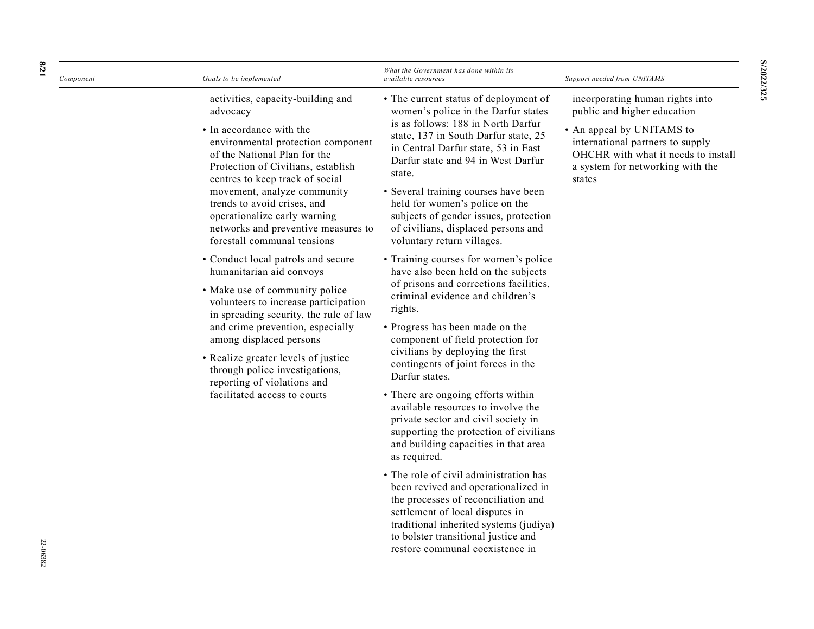| Component | Goals to be implemented                                                                                                                                                                                                                                                                                                                                                                      | What the Government has done within its<br>available resources                                                                                                                                                                                                                                                                                                                                                                                                                                                                                                                                                                                                                                                                                                                                             | Support needed from UNITAMS                                                                                                                                                                                          |
|-----------|----------------------------------------------------------------------------------------------------------------------------------------------------------------------------------------------------------------------------------------------------------------------------------------------------------------------------------------------------------------------------------------------|------------------------------------------------------------------------------------------------------------------------------------------------------------------------------------------------------------------------------------------------------------------------------------------------------------------------------------------------------------------------------------------------------------------------------------------------------------------------------------------------------------------------------------------------------------------------------------------------------------------------------------------------------------------------------------------------------------------------------------------------------------------------------------------------------------|----------------------------------------------------------------------------------------------------------------------------------------------------------------------------------------------------------------------|
|           | activities, capacity-building and<br>advocacy<br>• In accordance with the<br>environmental protection component<br>of the National Plan for the<br>Protection of Civilians, establish<br>centres to keep track of social<br>movement, analyze community<br>trends to avoid crises, and<br>operationalize early warning<br>networks and preventive measures to<br>forestall communal tensions | • The current status of deployment of<br>women's police in the Darfur states<br>is as follows: 188 in North Darfur<br>state, 137 in South Darfur state, 25<br>in Central Darfur state, 53 in East<br>Darfur state and 94 in West Darfur<br>state.<br>• Several training courses have been<br>held for women's police on the<br>subjects of gender issues, protection<br>of civilians, displaced persons and<br>voluntary return villages.                                                                                                                                                                                                                                                                                                                                                                  | incorporating human rights into<br>public and higher education<br>• An appeal by UNITAMS to<br>international partners to supply<br>OHCHR with what it needs to install<br>a system for networking with the<br>states |
|           | • Conduct local patrols and secure<br>humanitarian aid convoys<br>• Make use of community police<br>volunteers to increase participation<br>in spreading security, the rule of law<br>and crime prevention, especially<br>among displaced persons<br>• Realize greater levels of justice<br>through police investigations,<br>reporting of violations and<br>facilitated access to courts    | • Training courses for women's police<br>have also been held on the subjects<br>of prisons and corrections facilities,<br>criminal evidence and children's<br>rights.<br>• Progress has been made on the<br>component of field protection for<br>civilians by deploying the first<br>contingents of joint forces in the<br>Darfur states.<br>• There are ongoing efforts within<br>available resources to involve the<br>private sector and civil society in<br>supporting the protection of civilians<br>and building capacities in that area<br>as required.<br>• The role of civil administration has<br>been revived and operationalized in<br>the processes of reconciliation and<br>settlement of local disputes in<br>traditional inherited systems (judiya)<br>to bolster transitional justice and |                                                                                                                                                                                                                      |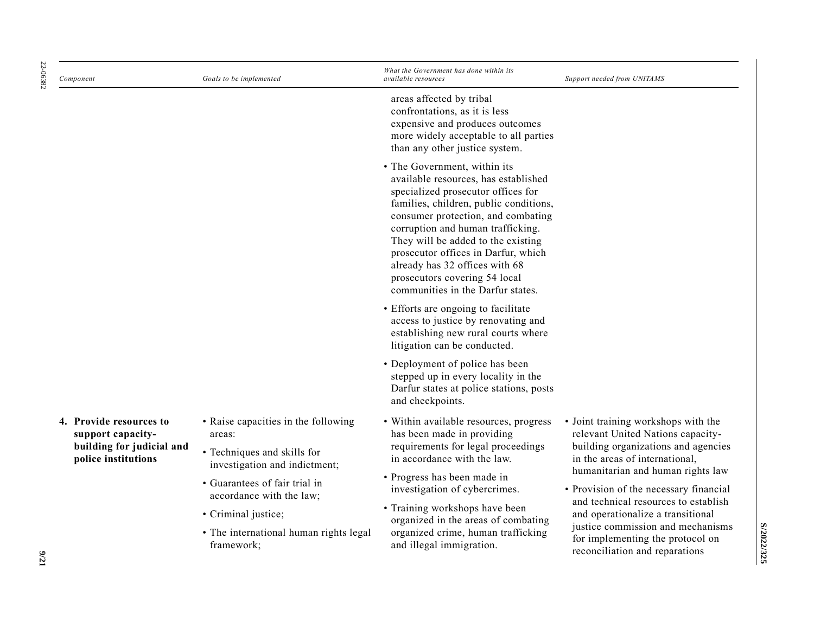| 22-06382 | Component                                        | Goals to be implemented                                                                                                                                                            | What the Government has done within its<br>available resources                                                                                                                                                                                                                                                                                                                                                       | Support needed from UNITAMS                                                                                                                       |
|----------|--------------------------------------------------|------------------------------------------------------------------------------------------------------------------------------------------------------------------------------------|----------------------------------------------------------------------------------------------------------------------------------------------------------------------------------------------------------------------------------------------------------------------------------------------------------------------------------------------------------------------------------------------------------------------|---------------------------------------------------------------------------------------------------------------------------------------------------|
|          |                                                  |                                                                                                                                                                                    | areas affected by tribal<br>confrontations, as it is less<br>expensive and produces outcomes<br>more widely acceptable to all parties<br>than any other justice system.                                                                                                                                                                                                                                              |                                                                                                                                                   |
|          |                                                  |                                                                                                                                                                                    | • The Government, within its<br>available resources, has established<br>specialized prosecutor offices for<br>families, children, public conditions,<br>consumer protection, and combating<br>corruption and human trafficking.<br>They will be added to the existing<br>prosecutor offices in Darfur, which<br>already has 32 offices with 68<br>prosecutors covering 54 local<br>communities in the Darfur states. |                                                                                                                                                   |
|          |                                                  |                                                                                                                                                                                    | • Efforts are ongoing to facilitate<br>access to justice by renovating and<br>establishing new rural courts where<br>litigation can be conducted.                                                                                                                                                                                                                                                                    |                                                                                                                                                   |
|          |                                                  |                                                                                                                                                                                    | • Deployment of police has been<br>stepped up in every locality in the<br>Darfur states at police stations, posts<br>and checkpoints.                                                                                                                                                                                                                                                                                |                                                                                                                                                   |
|          | 4. Provide resources to<br>support capacity-     | • Raise capacities in the following<br>areas:                                                                                                                                      | • Within available resources, progress<br>has been made in providing<br>requirements for legal proceedings<br>in accordance with the law.                                                                                                                                                                                                                                                                            | • Joint training workshops with the<br>relevant United Nations capacity-<br>building organizations and agencies<br>in the areas of international, |
|          | building for judicial and<br>police institutions | • Techniques and skills for<br>investigation and indictment;                                                                                                                       |                                                                                                                                                                                                                                                                                                                                                                                                                      |                                                                                                                                                   |
|          |                                                  | • Progress has been made in<br>• Guarantees of fair trial in<br>investigation of cybercrimes.<br>accordance with the law;<br>• Training workshops have been<br>• Criminal justice; |                                                                                                                                                                                                                                                                                                                                                                                                                      | humanitarian and human rights law<br>• Provision of the necessary financial                                                                       |
|          |                                                  |                                                                                                                                                                                    | organized in the areas of combating                                                                                                                                                                                                                                                                                                                                                                                  | and technical resources to establish<br>and operationalize a transitional                                                                         |
| 1776     |                                                  | • The international human rights legal<br>framework;                                                                                                                               | organized crime, human trafficking<br>and illegal immigration.                                                                                                                                                                                                                                                                                                                                                       | justice commission and mechanisms<br>for implementing the protocol on<br>reconciliation and reparations                                           |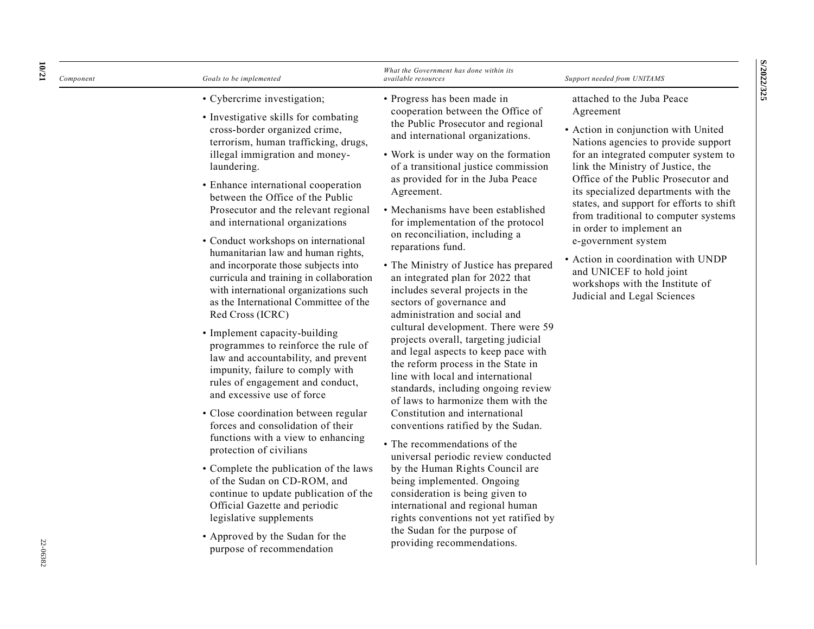| 10/21<br>Component | Goals to be implemented                                                                                                                                                                                                                                                                                                                                                                                                                                                                                                                                                                                                                                                                                                                                                                                                                                                                                                                                                                                                                                                                                                                                                                                                                    | What the Government has done within its<br>available resources                                                                                                                                                                                                                                                                                                                                                                                                                                                                                                                                                                                                                                                                                                                                                                                                                                                                                                                                                                                                                                                                                                                                                                                                                | Support needed from UNITAMS                                                                                                                                                                                                                                                                                                                                                                                                                                                                                                                                  |
|--------------------|--------------------------------------------------------------------------------------------------------------------------------------------------------------------------------------------------------------------------------------------------------------------------------------------------------------------------------------------------------------------------------------------------------------------------------------------------------------------------------------------------------------------------------------------------------------------------------------------------------------------------------------------------------------------------------------------------------------------------------------------------------------------------------------------------------------------------------------------------------------------------------------------------------------------------------------------------------------------------------------------------------------------------------------------------------------------------------------------------------------------------------------------------------------------------------------------------------------------------------------------|-------------------------------------------------------------------------------------------------------------------------------------------------------------------------------------------------------------------------------------------------------------------------------------------------------------------------------------------------------------------------------------------------------------------------------------------------------------------------------------------------------------------------------------------------------------------------------------------------------------------------------------------------------------------------------------------------------------------------------------------------------------------------------------------------------------------------------------------------------------------------------------------------------------------------------------------------------------------------------------------------------------------------------------------------------------------------------------------------------------------------------------------------------------------------------------------------------------------------------------------------------------------------------|--------------------------------------------------------------------------------------------------------------------------------------------------------------------------------------------------------------------------------------------------------------------------------------------------------------------------------------------------------------------------------------------------------------------------------------------------------------------------------------------------------------------------------------------------------------|
| 22-06382           | • Cybercrime investigation;<br>• Investigative skills for combating<br>cross-border organized crime,<br>terrorism, human trafficking, drugs,<br>illegal immigration and money-<br>laundering.<br>• Enhance international cooperation<br>between the Office of the Public<br>Prosecutor and the relevant regional<br>and international organizations<br>• Conduct workshops on international<br>humanitarian law and human rights,<br>and incorporate those subjects into<br>curricula and training in collaboration<br>with international organizations such<br>as the International Committee of the<br>Red Cross (ICRC)<br>• Implement capacity-building<br>programmes to reinforce the rule of<br>law and accountability, and prevent<br>impunity, failure to comply with<br>rules of engagement and conduct,<br>and excessive use of force<br>· Close coordination between regular<br>forces and consolidation of their<br>functions with a view to enhancing<br>protection of civilians<br>• Complete the publication of the laws<br>of the Sudan on CD-ROM, and<br>continue to update publication of the<br>Official Gazette and periodic<br>legislative supplements<br>• Approved by the Sudan for the<br>purpose of recommendation | • Progress has been made in<br>cooperation between the Office of<br>the Public Prosecutor and regional<br>and international organizations.<br>• Work is under way on the formation<br>of a transitional justice commission<br>as provided for in the Juba Peace<br>Agreement.<br>• Mechanisms have been established<br>for implementation of the protocol<br>on reconciliation, including a<br>reparations fund.<br>• The Ministry of Justice has prepared<br>an integrated plan for 2022 that<br>includes several projects in the<br>sectors of governance and<br>administration and social and<br>cultural development. There were 59<br>projects overall, targeting judicial<br>and legal aspects to keep pace with<br>the reform process in the State in<br>line with local and international<br>standards, including ongoing review<br>of laws to harmonize them with the<br>Constitution and international<br>conventions ratified by the Sudan.<br>• The recommendations of the<br>universal periodic review conducted<br>by the Human Rights Council are<br>being implemented. Ongoing<br>consideration is being given to<br>international and regional human<br>rights conventions not yet ratified by<br>the Sudan for the purpose of<br>providing recommendations. | attached to the Juba Peace<br>Agreement<br>• Action in conjunction with United<br>Nations agencies to provide support<br>for an integrated computer system to<br>link the Ministry of Justice, the<br>Office of the Public Prosecutor and<br>its specialized departments with the<br>states, and support for efforts to shift<br>from traditional to computer systems<br>in order to implement an<br>e-government system<br>• Action in coordination with UNDP<br>and UNICEF to hold joint<br>workshops with the Institute of<br>Judicial and Legal Sciences |

**S/2022/325**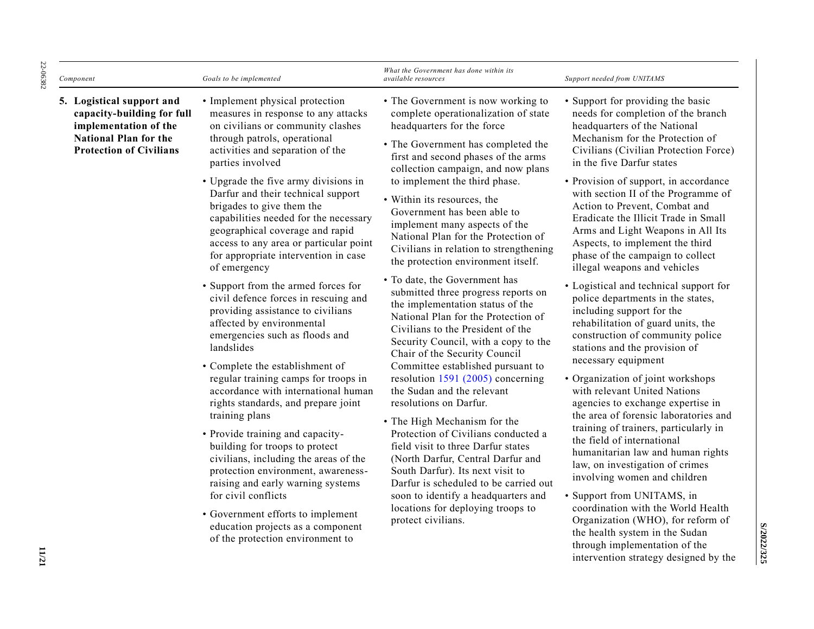| Component                                                                                                                                          | Goals to be implemented                                                                                                                                                                                                                                                                                                                                                                                                                                                                                                                                                                                                                                                                                                                                                                                                                                                                                                                                                                                                                                                                                                                                                                                 | What the Government has done within its<br>available resources                                                                                                                                                                                                                                                                                                                                                                                                                                                                                                                                                                                                                                                                                                                                                                                                                                                                                                                                                                                                                                                                                                                                                           | Support needed from UNITAMS                                                                                                                                                                                                                                                                                                                                                                                                                                                                                                                                                                                                                                                                                                                                                                                                                                                                                                                                                                                                                                                                                                                                                                                                                                                                                                |
|----------------------------------------------------------------------------------------------------------------------------------------------------|---------------------------------------------------------------------------------------------------------------------------------------------------------------------------------------------------------------------------------------------------------------------------------------------------------------------------------------------------------------------------------------------------------------------------------------------------------------------------------------------------------------------------------------------------------------------------------------------------------------------------------------------------------------------------------------------------------------------------------------------------------------------------------------------------------------------------------------------------------------------------------------------------------------------------------------------------------------------------------------------------------------------------------------------------------------------------------------------------------------------------------------------------------------------------------------------------------|--------------------------------------------------------------------------------------------------------------------------------------------------------------------------------------------------------------------------------------------------------------------------------------------------------------------------------------------------------------------------------------------------------------------------------------------------------------------------------------------------------------------------------------------------------------------------------------------------------------------------------------------------------------------------------------------------------------------------------------------------------------------------------------------------------------------------------------------------------------------------------------------------------------------------------------------------------------------------------------------------------------------------------------------------------------------------------------------------------------------------------------------------------------------------------------------------------------------------|----------------------------------------------------------------------------------------------------------------------------------------------------------------------------------------------------------------------------------------------------------------------------------------------------------------------------------------------------------------------------------------------------------------------------------------------------------------------------------------------------------------------------------------------------------------------------------------------------------------------------------------------------------------------------------------------------------------------------------------------------------------------------------------------------------------------------------------------------------------------------------------------------------------------------------------------------------------------------------------------------------------------------------------------------------------------------------------------------------------------------------------------------------------------------------------------------------------------------------------------------------------------------------------------------------------------------|
| 5. Logistical support and<br>capacity-building for full<br>implementation of the<br><b>National Plan for the</b><br><b>Protection of Civilians</b> | • Implement physical protection<br>measures in response to any attacks<br>on civilians or community clashes<br>through patrols, operational<br>activities and separation of the<br>parties involved<br>• Upgrade the five army divisions in<br>Darfur and their technical support<br>brigades to give them the<br>capabilities needed for the necessary<br>geographical coverage and rapid<br>access to any area or particular point<br>for appropriate intervention in case<br>of emergency<br>• Support from the armed forces for<br>civil defence forces in rescuing and<br>providing assistance to civilians<br>affected by environmental<br>emergencies such as floods and<br>landslides<br>• Complete the establishment of<br>regular training camps for troops in<br>accordance with international human<br>rights standards, and prepare joint<br>training plans<br>• Provide training and capacity-<br>building for troops to protect<br>civilians, including the areas of the<br>protection environment, awareness-<br>raising and early warning systems<br>for civil conflicts<br>• Government efforts to implement<br>education projects as a component<br>of the protection environment to | • The Government is now working to<br>complete operationalization of state<br>headquarters for the force<br>• The Government has completed the<br>first and second phases of the arms<br>collection campaign, and now plans<br>to implement the third phase.<br>• Within its resources, the<br>Government has been able to<br>implement many aspects of the<br>National Plan for the Protection of<br>Civilians in relation to strengthening<br>the protection environment itself.<br>• To date, the Government has<br>submitted three progress reports on<br>the implementation status of the<br>National Plan for the Protection of<br>Civilians to the President of the<br>Security Council, with a copy to the<br>Chair of the Security Council<br>Committee established pursuant to<br>resolution $1591$ (2005) concerning<br>the Sudan and the relevant<br>resolutions on Darfur.<br>• The High Mechanism for the<br>Protection of Civilians conducted a<br>field visit to three Darfur states<br>(North Darfur, Central Darfur and<br>South Darfur). Its next visit to<br>Darfur is scheduled to be carried out<br>soon to identify a headquarters and<br>locations for deploying troops to<br>protect civilians. | • Support for providing the basic<br>needs for completion of the branch<br>headquarters of the National<br>Mechanism for the Protection of<br>Civilians (Civilian Protection Force)<br>in the five Darfur states<br>• Provision of support, in accordance<br>with section II of the Programme of<br>Action to Prevent, Combat and<br>Eradicate the Illicit Trade in Small<br>Arms and Light Weapons in All Its<br>Aspects, to implement the third<br>phase of the campaign to collect<br>illegal weapons and vehicles<br>• Logistical and technical support for<br>police departments in the states,<br>including support for the<br>rehabilitation of guard units, the<br>construction of community police<br>stations and the provision of<br>necessary equipment<br>• Organization of joint workshops<br>with relevant United Nations<br>agencies to exchange expertise in<br>the area of forensic laboratories and<br>training of trainers, particularly in<br>the field of international<br>humanitarian law and human rights<br>law, on investigation of crimes<br>involving women and children<br>• Support from UNITAMS, in<br>coordination with the World Health<br>Organization (WHO), for reform of<br>the health system in the Sudan<br>through implementation of the<br>intervention strategy designed by the |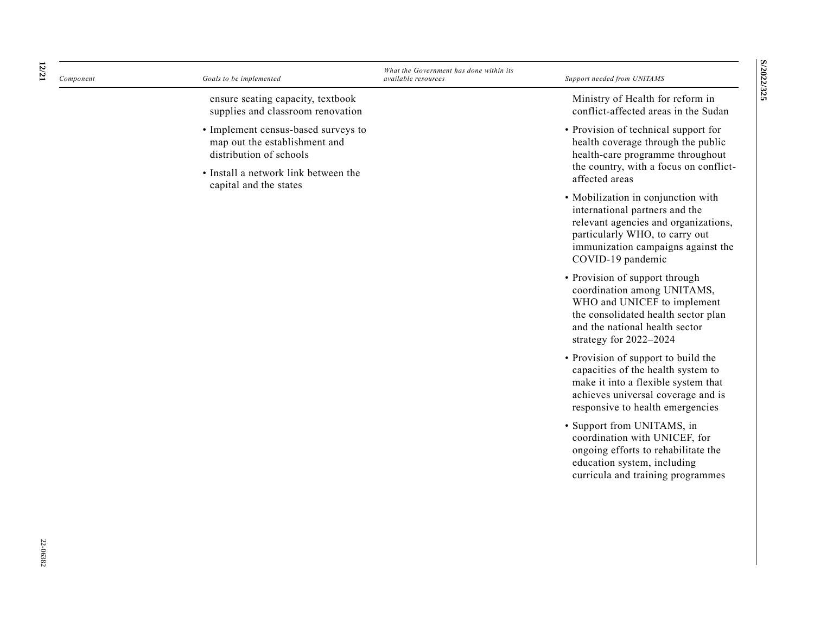| Component | Goals to be implemented                                                                         | What the Government has done within its<br><i>available resources</i> | Support needed from UNITAMS                                                                                                                                                                               |
|-----------|-------------------------------------------------------------------------------------------------|-----------------------------------------------------------------------|-----------------------------------------------------------------------------------------------------------------------------------------------------------------------------------------------------------|
|           | ensure seating capacity, textbook<br>supplies and classroom renovation                          |                                                                       | Ministry of Health for reform in<br>conflict-affected areas in the Sudan                                                                                                                                  |
|           | • Implement census-based surveys to<br>map out the establishment and<br>distribution of schools |                                                                       | • Provision of technical support for<br>health coverage through the public<br>health-care programme throughout                                                                                            |
|           | • Install a network link between the<br>capital and the states                                  |                                                                       | the country, with a focus on conflict-<br>affected areas                                                                                                                                                  |
|           |                                                                                                 |                                                                       | • Mobilization in conjunction with<br>international partners and the<br>relevant agencies and organizations,<br>particularly WHO, to carry out<br>immunization campaigns against the<br>COVID-19 pandemic |
|           |                                                                                                 |                                                                       | • Provision of support through<br>coordination among UNITAMS,<br>WHO and UNICEF to implement<br>the consolidated health sector plan<br>and the national health sector<br>strategy for 2022-2024           |
|           |                                                                                                 |                                                                       | • Provision of support to build the<br>capacities of the health system to<br>make it into a flexible system that<br>achieves universal coverage and is<br>responsive to health emergencies                |
|           |                                                                                                 |                                                                       | · Support from UNITAMS, in<br>coordination with UNICEF, for<br>ongoing efforts to rehabilitate the<br>education system, including<br>curricula and training programmes                                    |
|           |                                                                                                 |                                                                       |                                                                                                                                                                                                           |
|           |                                                                                                 |                                                                       |                                                                                                                                                                                                           |

**S/2022/325 S/2022/325**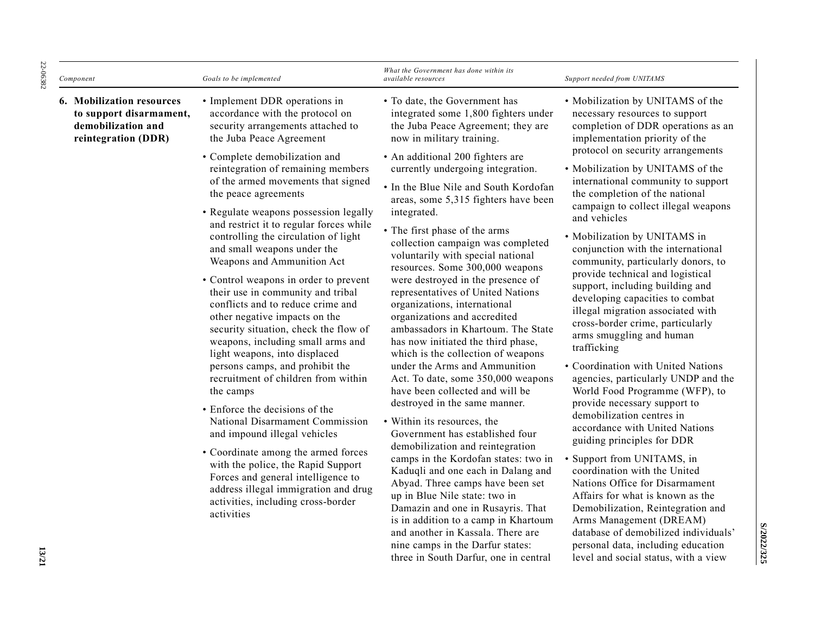| Component                                                                                                | Goals to be implemented                                                                                                                                                                                                                                                                                                                                                                                                                                                                                                                                                                                                                                                                                                                                                                                                                                                                                                                                                                                                                                                                                                                       | What the Government has done within its<br><i>available resources</i>                                                                                                                                                                                                                                                                                                                                                                                                                                                                                                                                                                                                                                                                                                                                                                                                                                                                                                                                                                                                                                                                                                                                                                                                                                                          | Support needed from UNITAMS                                                                                                                                                                                                                                                                                                                                                                                                                                                                                                                                                                                                                                                                                                                                                                                                                                                                                                                                                                                                                                                                                                                                                                                                                                        |
|----------------------------------------------------------------------------------------------------------|-----------------------------------------------------------------------------------------------------------------------------------------------------------------------------------------------------------------------------------------------------------------------------------------------------------------------------------------------------------------------------------------------------------------------------------------------------------------------------------------------------------------------------------------------------------------------------------------------------------------------------------------------------------------------------------------------------------------------------------------------------------------------------------------------------------------------------------------------------------------------------------------------------------------------------------------------------------------------------------------------------------------------------------------------------------------------------------------------------------------------------------------------|--------------------------------------------------------------------------------------------------------------------------------------------------------------------------------------------------------------------------------------------------------------------------------------------------------------------------------------------------------------------------------------------------------------------------------------------------------------------------------------------------------------------------------------------------------------------------------------------------------------------------------------------------------------------------------------------------------------------------------------------------------------------------------------------------------------------------------------------------------------------------------------------------------------------------------------------------------------------------------------------------------------------------------------------------------------------------------------------------------------------------------------------------------------------------------------------------------------------------------------------------------------------------------------------------------------------------------|--------------------------------------------------------------------------------------------------------------------------------------------------------------------------------------------------------------------------------------------------------------------------------------------------------------------------------------------------------------------------------------------------------------------------------------------------------------------------------------------------------------------------------------------------------------------------------------------------------------------------------------------------------------------------------------------------------------------------------------------------------------------------------------------------------------------------------------------------------------------------------------------------------------------------------------------------------------------------------------------------------------------------------------------------------------------------------------------------------------------------------------------------------------------------------------------------------------------------------------------------------------------|
| <b>6. Mobilization resources</b><br>to support disarmament,<br>demobilization and<br>reintegration (DDR) | • Implement DDR operations in<br>accordance with the protocol on<br>security arrangements attached to<br>the Juba Peace Agreement<br>• Complete demobilization and<br>reintegration of remaining members<br>of the armed movements that signed<br>the peace agreements<br>• Regulate weapons possession legally<br>and restrict it to regular forces while<br>controlling the circulation of light<br>and small weapons under the<br>Weapons and Ammunition Act<br>• Control weapons in order to prevent<br>their use in community and tribal<br>conflicts and to reduce crime and<br>other negative impacts on the<br>security situation, check the flow of<br>weapons, including small arms and<br>light weapons, into displaced<br>persons camps, and prohibit the<br>recruitment of children from within<br>the camps<br>• Enforce the decisions of the<br>National Disarmament Commission<br>and impound illegal vehicles<br>• Coordinate among the armed forces<br>with the police, the Rapid Support<br>Forces and general intelligence to<br>address illegal immigration and drug<br>activities, including cross-border<br>activities | • To date, the Government has<br>integrated some 1,800 fighters under<br>the Juba Peace Agreement; they are<br>now in military training.<br>• An additional 200 fighters are<br>currently undergoing integration.<br>• In the Blue Nile and South Kordofan<br>areas, some 5,315 fighters have been<br>integrated.<br>• The first phase of the arms<br>collection campaign was completed<br>voluntarily with special national<br>resources. Some 300,000 weapons<br>were destroyed in the presence of<br>representatives of United Nations<br>organizations, international<br>organizations and accredited<br>ambassadors in Khartoum. The State<br>has now initiated the third phase,<br>which is the collection of weapons<br>under the Arms and Ammunition<br>Act. To date, some 350,000 weapons<br>have been collected and will be<br>destroyed in the same manner.<br>• Within its resources, the<br>Government has established four<br>demobilization and reintegration<br>camps in the Kordofan states: two in<br>Kaduqli and one each in Dalang and<br>Abyad. Three camps have been set<br>up in Blue Nile state: two in<br>Damazin and one in Rusayris. That<br>is in addition to a camp in Khartoum<br>and another in Kassala. There are<br>nine camps in the Darfur states:<br>three in South Darfur, one in central | • Mobilization by UNITAMS of the<br>necessary resources to support<br>completion of DDR operations as an<br>implementation priority of the<br>protocol on security arrangements<br>• Mobilization by UNITAMS of the<br>international community to support<br>the completion of the national<br>campaign to collect illegal weapons<br>and vehicles<br>• Mobilization by UNITAMS in<br>conjunction with the international<br>community, particularly donors, to<br>provide technical and logistical<br>support, including building and<br>developing capacities to combat<br>illegal migration associated with<br>cross-border crime, particularly<br>arms smuggling and human<br>trafficking<br>• Coordination with United Nations<br>agencies, particularly UNDP and the<br>World Food Programme (WFP), to<br>provide necessary support to<br>demobilization centres in<br>accordance with United Nations<br>guiding principles for DDR<br>• Support from UNITAMS, in<br>coordination with the United<br>Nations Office for Disarmament<br>Affairs for what is known as the<br>Demobilization, Reintegration and<br>Arms Management (DREAM)<br>database of demobilized individuals'<br>personal data, including education<br>level and social status, with a view |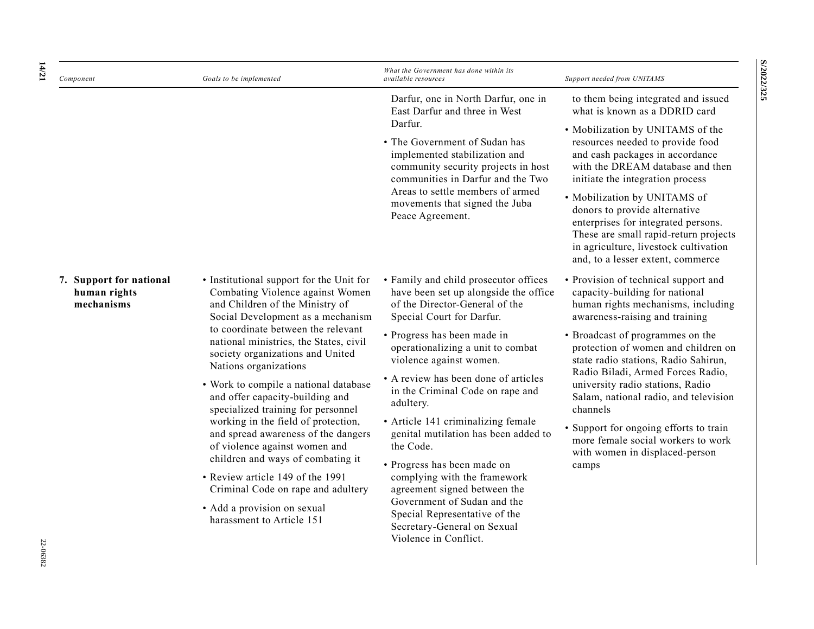| Component                                             | Goals to be implemented                                                                                                                                                                                                                                                                                                                                                      | What the Government has done within its<br><i>available resources</i>                                                                         | Support needed from UNITAMS                                                                                                                                                                                                                           |
|-------------------------------------------------------|------------------------------------------------------------------------------------------------------------------------------------------------------------------------------------------------------------------------------------------------------------------------------------------------------------------------------------------------------------------------------|-----------------------------------------------------------------------------------------------------------------------------------------------|-------------------------------------------------------------------------------------------------------------------------------------------------------------------------------------------------------------------------------------------------------|
|                                                       |                                                                                                                                                                                                                                                                                                                                                                              | Darfur, one in North Darfur, one in<br>East Darfur and three in West<br>Darfur.                                                               | to them being integrated and issued<br>what is known as a DDRID card                                                                                                                                                                                  |
|                                                       |                                                                                                                                                                                                                                                                                                                                                                              | • The Government of Sudan has<br>implemented stabilization and<br>community security projects in host<br>communities in Darfur and the Two    | • Mobilization by UNITAMS of the<br>resources needed to provide food<br>and cash packages in accordance<br>with the DREAM database and then<br>initiate the integration process                                                                       |
|                                                       |                                                                                                                                                                                                                                                                                                                                                                              | Areas to settle members of armed<br>movements that signed the Juba<br>Peace Agreement.                                                        | • Mobilization by UNITAMS of<br>donors to provide alternative<br>enterprises for integrated persons.<br>These are small rapid-return projects<br>in agriculture, livestock cultivation<br>and, to a lesser extent, commerce                           |
| 7. Support for national<br>human rights<br>mechanisms | • Institutional support for the Unit for<br>Combating Violence against Women<br>and Children of the Ministry of<br>Social Development as a mechanism                                                                                                                                                                                                                         | • Family and child prosecutor offices<br>have been set up alongside the office<br>of the Director-General of the<br>Special Court for Darfur. | • Provision of technical support and<br>capacity-building for national<br>human rights mechanisms, including<br>awareness-raising and training                                                                                                        |
|                                                       | to coordinate between the relevant<br>national ministries, the States, civil<br>society organizations and United<br>Nations organizations                                                                                                                                                                                                                                    | • Progress has been made in<br>operationalizing a unit to combat<br>violence against women.                                                   | • Broadcast of programmes on the<br>protection of women and children on<br>state radio stations, Radio Sahirun,                                                                                                                                       |
|                                                       | • Work to compile a national database<br>and offer capacity-building and<br>specialized training for personnel                                                                                                                                                                                                                                                               | • A review has been done of articles<br>in the Criminal Code on rape and<br>adultery.                                                         | Radio Biladi, Armed Forces Radio,<br>university radio stations, Radio<br>Salam, national radio, and television<br>channels<br>• Support for ongoing efforts to train<br>more female social workers to work<br>with women in displaced-person<br>camps |
|                                                       | working in the field of protection,<br>• Article 141 criminalizing female<br>and spread awareness of the dangers<br>of violence against women and<br>the Code.<br>children and ways of combating it<br>• Progress has been made on<br>• Review article 149 of the 1991<br>complying with the framework<br>agreement signed between the<br>Criminal Code on rape and adultery | genital mutilation has been added to                                                                                                          |                                                                                                                                                                                                                                                       |
|                                                       |                                                                                                                                                                                                                                                                                                                                                                              |                                                                                                                                               |                                                                                                                                                                                                                                                       |
|                                                       | • Add a provision on sexual<br>harassment to Article 151                                                                                                                                                                                                                                                                                                                     | Government of Sudan and the<br>Special Representative of the<br>Secretary-General on Sexual<br>Violence in Conflict.                          |                                                                                                                                                                                                                                                       |

**S/2022/325 S/2022/325**

**14**

**/21**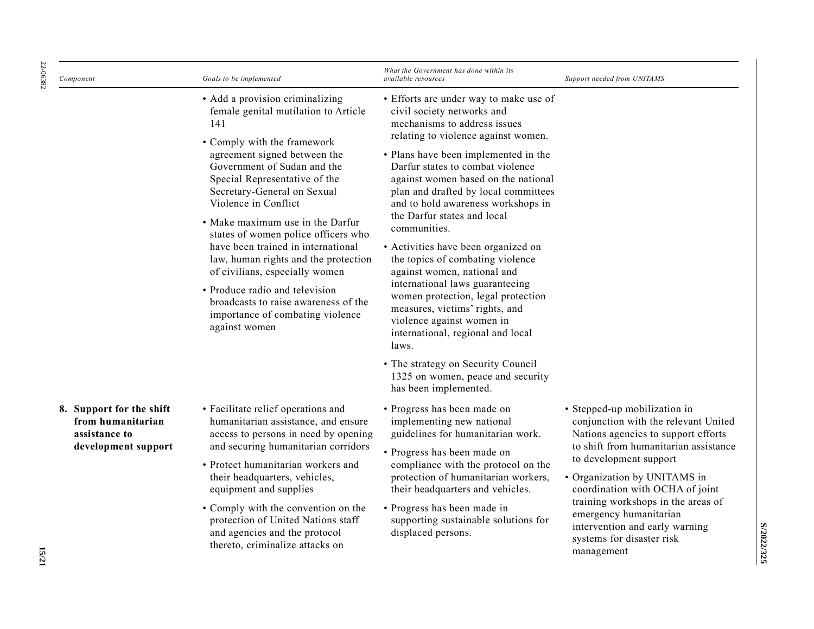| 22-06382<br>Component                                                                                 | Goals to be implemented                                                                                                                                                                                                                                                                                                                                                                                                                                                       | What the Government has done within its<br><i>available resources</i>                                                                                                                                                                                                                                                                                                                                                                                                                                                                        | Support needed from UNITAMS                                                                                                                                                                                                                                                                                                                                                                    |
|-------------------------------------------------------------------------------------------------------|-------------------------------------------------------------------------------------------------------------------------------------------------------------------------------------------------------------------------------------------------------------------------------------------------------------------------------------------------------------------------------------------------------------------------------------------------------------------------------|----------------------------------------------------------------------------------------------------------------------------------------------------------------------------------------------------------------------------------------------------------------------------------------------------------------------------------------------------------------------------------------------------------------------------------------------------------------------------------------------------------------------------------------------|------------------------------------------------------------------------------------------------------------------------------------------------------------------------------------------------------------------------------------------------------------------------------------------------------------------------------------------------------------------------------------------------|
|                                                                                                       | • Add a provision criminalizing<br>female genital mutilation to Article<br>141<br>• Comply with the framework                                                                                                                                                                                                                                                                                                                                                                 | • Efforts are under way to make use of<br>civil society networks and<br>mechanisms to address issues<br>relating to violence against women.                                                                                                                                                                                                                                                                                                                                                                                                  |                                                                                                                                                                                                                                                                                                                                                                                                |
|                                                                                                       | agreement signed between the<br>Government of Sudan and the<br>Special Representative of the<br>Secretary-General on Sexual<br>Violence in Conflict<br>• Make maximum use in the Darfur<br>states of women police officers who<br>have been trained in international<br>law, human rights and the protection<br>of civilians, especially women<br>• Produce radio and television<br>broadcasts to raise awareness of the<br>importance of combating violence<br>against women | • Plans have been implemented in the<br>Darfur states to combat violence<br>against women based on the national<br>plan and drafted by local committees<br>and to hold awareness workshops in<br>the Darfur states and local<br>communities.<br>• Activities have been organized on<br>the topics of combating violence<br>against women, national and<br>international laws guaranteeing<br>women protection, legal protection<br>measures, victims' rights, and<br>violence against women in<br>international, regional and local<br>laws. |                                                                                                                                                                                                                                                                                                                                                                                                |
|                                                                                                       |                                                                                                                                                                                                                                                                                                                                                                                                                                                                               | • The strategy on Security Council<br>1325 on women, peace and security<br>has been implemented.                                                                                                                                                                                                                                                                                                                                                                                                                                             |                                                                                                                                                                                                                                                                                                                                                                                                |
| 8. Support for the shift<br>from humanitarian<br>assistance to<br>development support<br><b>15/21</b> | • Facilitate relief operations and<br>humanitarian assistance, and ensure<br>access to persons in need by opening<br>and securing humanitarian corridors<br>• Protect humanitarian workers and<br>their headquarters, vehicles,<br>equipment and supplies<br>• Comply with the convention on the<br>protection of United Nations staff<br>and agencies and the protocol<br>thereto, criminalize attacks on                                                                    | • Progress has been made on<br>implementing new national<br>guidelines for humanitarian work.<br>• Progress has been made on<br>compliance with the protocol on the<br>protection of humanitarian workers,<br>their headquarters and vehicles.<br>• Progress has been made in<br>supporting sustainable solutions for<br>displaced persons.                                                                                                                                                                                                  | · Stepped-up mobilization in<br>conjunction with the relevant United<br>Nations agencies to support efforts<br>to shift from humanitarian assistance<br>to development support<br>· Organization by UNITAMS in<br>coordination with OCHA of joint<br>training workshops in the areas of<br>emergency humanitarian<br>intervention and early warning<br>systems for disaster risk<br>management |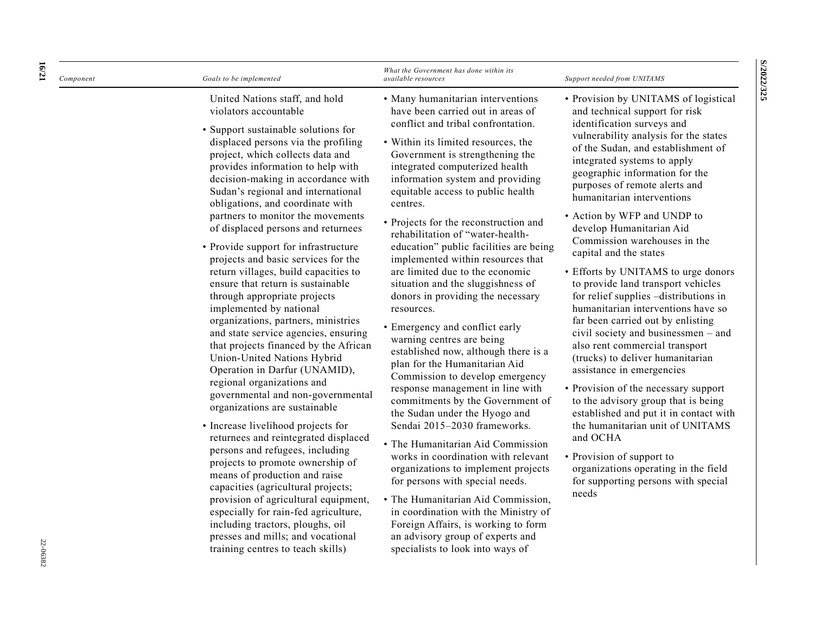| Component | Goals to be implemented                                                                                                                                                                                                                                                                                                                                                                                                                                                                                                                                                                                                                                                                                                                                                                                                                                                                                                                                                                                                                                                                                                                                                                                                                                                                                                                                | What the Government has done within its<br>available resources                                                                                                                                                                                                                                                                                                                                                                                                                                                                                                                                                                                                                                                                                                                                                                                                                                                                                                                                                                                                                                                                                                                                                                                                              | Support needed from UNITAMS                                                                                                                                                                                                                                                                                                                                                                                                                                                                                                                                                                                                                                                                                                                                                                                                                                                                                                                                                                                                                                                       |
|-----------|--------------------------------------------------------------------------------------------------------------------------------------------------------------------------------------------------------------------------------------------------------------------------------------------------------------------------------------------------------------------------------------------------------------------------------------------------------------------------------------------------------------------------------------------------------------------------------------------------------------------------------------------------------------------------------------------------------------------------------------------------------------------------------------------------------------------------------------------------------------------------------------------------------------------------------------------------------------------------------------------------------------------------------------------------------------------------------------------------------------------------------------------------------------------------------------------------------------------------------------------------------------------------------------------------------------------------------------------------------|-----------------------------------------------------------------------------------------------------------------------------------------------------------------------------------------------------------------------------------------------------------------------------------------------------------------------------------------------------------------------------------------------------------------------------------------------------------------------------------------------------------------------------------------------------------------------------------------------------------------------------------------------------------------------------------------------------------------------------------------------------------------------------------------------------------------------------------------------------------------------------------------------------------------------------------------------------------------------------------------------------------------------------------------------------------------------------------------------------------------------------------------------------------------------------------------------------------------------------------------------------------------------------|-----------------------------------------------------------------------------------------------------------------------------------------------------------------------------------------------------------------------------------------------------------------------------------------------------------------------------------------------------------------------------------------------------------------------------------------------------------------------------------------------------------------------------------------------------------------------------------------------------------------------------------------------------------------------------------------------------------------------------------------------------------------------------------------------------------------------------------------------------------------------------------------------------------------------------------------------------------------------------------------------------------------------------------------------------------------------------------|
|           | United Nations staff, and hold<br>violators accountable<br>• Support sustainable solutions for<br>displaced persons via the profiling<br>project, which collects data and<br>provides information to help with<br>decision-making in accordance with<br>Sudan's regional and international<br>obligations, and coordinate with<br>partners to monitor the movements<br>of displaced persons and returnees<br>• Provide support for infrastructure<br>projects and basic services for the<br>return villages, build capacities to<br>ensure that return is sustainable<br>through appropriate projects<br>implemented by national<br>organizations, partners, ministries<br>and state service agencies, ensuring<br>that projects financed by the African<br>Union-United Nations Hybrid<br>Operation in Darfur (UNAMID),<br>regional organizations and<br>governmental and non-governmental<br>organizations are sustainable<br>• Increase livelihood projects for<br>returnees and reintegrated displaced<br>persons and refugees, including<br>projects to promote ownership of<br>means of production and raise<br>capacities (agricultural projects;<br>provision of agricultural equipment,<br>especially for rain-fed agriculture,<br>including tractors, ploughs, oil<br>presses and mills; and vocational<br>training centres to teach skills) | • Many humanitarian interventions<br>have been carried out in areas of<br>conflict and tribal confrontation.<br>• Within its limited resources, the<br>Government is strengthening the<br>integrated computerized health<br>information system and providing<br>equitable access to public health<br>centres.<br>• Projects for the reconstruction and<br>rehabilitation of "water-health-<br>education" public facilities are being<br>implemented within resources that<br>are limited due to the economic<br>situation and the sluggishness of<br>donors in providing the necessary<br>resources.<br>• Emergency and conflict early<br>warning centres are being<br>established now, although there is a<br>plan for the Humanitarian Aid<br>Commission to develop emergency<br>response management in line with<br>commitments by the Government of<br>the Sudan under the Hyogo and<br>Sendai 2015-2030 frameworks.<br>• The Humanitarian Aid Commission<br>works in coordination with relevant<br>organizations to implement projects<br>for persons with special needs.<br>• The Humanitarian Aid Commission,<br>in coordination with the Ministry of<br>Foreign Affairs, is working to form<br>an advisory group of experts and<br>specialists to look into ways of | • Provision by UNITAMS of logistical<br>and technical support for risk<br>identification surveys and<br>vulnerability analysis for the states<br>of the Sudan, and establishment of<br>integrated systems to apply<br>geographic information for the<br>purposes of remote alerts and<br>humanitarian interventions<br>• Action by WFP and UNDP to<br>develop Humanitarian Aid<br>Commission warehouses in the<br>capital and the states<br>• Efforts by UNITAMS to urge donors<br>to provide land transport vehicles<br>for relief supplies -distributions in<br>humanitarian interventions have so<br>far been carried out by enlisting<br>civil society and businessmen - and<br>also rent commercial transport<br>(trucks) to deliver humanitarian<br>assistance in emergencies<br>• Provision of the necessary support<br>to the advisory group that is being<br>established and put it in contact with<br>the humanitarian unit of UNITAMS<br>and OCHA<br>• Provision of support to<br>organizations operating in the field<br>for supporting persons with special<br>needs |

**16**

**/21**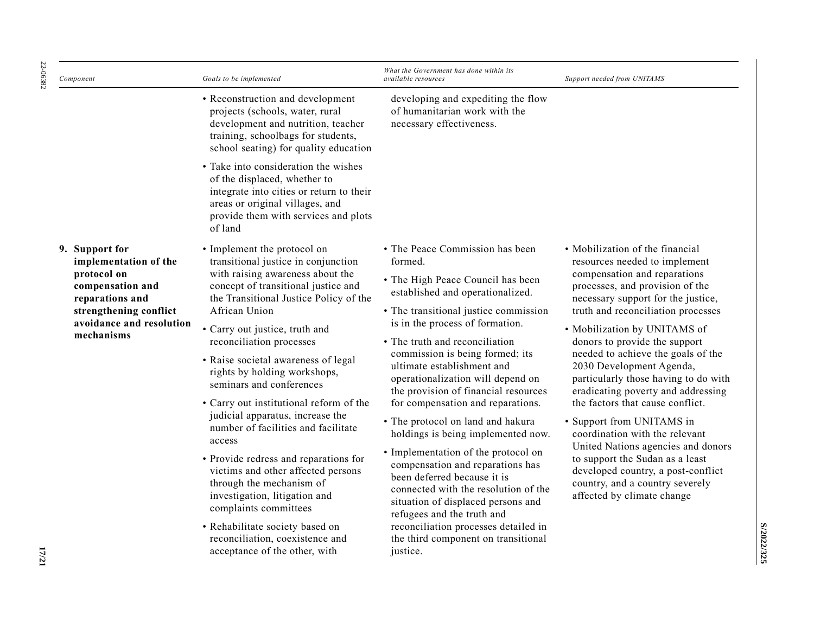| Component                                                                                                                                                         | Goals to be implemented                                                                                                                                                                                                                                                                                                                                                                                                                                                                                                                                                                                                                                                                                                                                                               | What the Government has done within its<br>available resources                                                                                                                                                                                                                                                                                                                                                                                                                                                                                                                                                                                                                                                                                                                                                   | Support needed from UNITAMS                                                                                                                                                                                                                                                                                                                                                                                                                                                                                                                                                                                                                                                                                         |
|-------------------------------------------------------------------------------------------------------------------------------------------------------------------|---------------------------------------------------------------------------------------------------------------------------------------------------------------------------------------------------------------------------------------------------------------------------------------------------------------------------------------------------------------------------------------------------------------------------------------------------------------------------------------------------------------------------------------------------------------------------------------------------------------------------------------------------------------------------------------------------------------------------------------------------------------------------------------|------------------------------------------------------------------------------------------------------------------------------------------------------------------------------------------------------------------------------------------------------------------------------------------------------------------------------------------------------------------------------------------------------------------------------------------------------------------------------------------------------------------------------------------------------------------------------------------------------------------------------------------------------------------------------------------------------------------------------------------------------------------------------------------------------------------|---------------------------------------------------------------------------------------------------------------------------------------------------------------------------------------------------------------------------------------------------------------------------------------------------------------------------------------------------------------------------------------------------------------------------------------------------------------------------------------------------------------------------------------------------------------------------------------------------------------------------------------------------------------------------------------------------------------------|
|                                                                                                                                                                   | • Reconstruction and development<br>projects (schools, water, rural<br>development and nutrition, teacher<br>training, schoolbags for students,<br>school seating) for quality education                                                                                                                                                                                                                                                                                                                                                                                                                                                                                                                                                                                              | developing and expediting the flow<br>of humanitarian work with the<br>necessary effectiveness.                                                                                                                                                                                                                                                                                                                                                                                                                                                                                                                                                                                                                                                                                                                  |                                                                                                                                                                                                                                                                                                                                                                                                                                                                                                                                                                                                                                                                                                                     |
|                                                                                                                                                                   | • Take into consideration the wishes<br>of the displaced, whether to<br>integrate into cities or return to their<br>areas or original villages, and<br>provide them with services and plots<br>of land                                                                                                                                                                                                                                                                                                                                                                                                                                                                                                                                                                                |                                                                                                                                                                                                                                                                                                                                                                                                                                                                                                                                                                                                                                                                                                                                                                                                                  |                                                                                                                                                                                                                                                                                                                                                                                                                                                                                                                                                                                                                                                                                                                     |
| 9. Support for<br>implementation of the<br>protocol on<br>compensation and<br>reparations and<br>strengthening conflict<br>avoidance and resolution<br>mechanisms | • Implement the protocol on<br>transitional justice in conjunction<br>with raising awareness about the<br>concept of transitional justice and<br>the Transitional Justice Policy of the<br>African Union<br>· Carry out justice, truth and<br>reconciliation processes<br>• Raise societal awareness of legal<br>rights by holding workshops,<br>seminars and conferences<br>• Carry out institutional reform of the<br>judicial apparatus, increase the<br>number of facilities and facilitate<br>access<br>• Provide redress and reparations for<br>victims and other affected persons<br>through the mechanism of<br>investigation, litigation and<br>complaints committees<br>• Rehabilitate society based on<br>reconciliation, coexistence and<br>acceptance of the other, with | • The Peace Commission has been<br>formed.<br>• The High Peace Council has been<br>established and operationalized.<br>• The transitional justice commission<br>is in the process of formation.<br>• The truth and reconciliation<br>commission is being formed; its<br>ultimate establishment and<br>operationalization will depend on<br>the provision of financial resources<br>for compensation and reparations.<br>• The protocol on land and hakura<br>holdings is being implemented now.<br>• Implementation of the protocol on<br>compensation and reparations has<br>been deferred because it is<br>connected with the resolution of the<br>situation of displaced persons and<br>refugees and the truth and<br>reconciliation processes detailed in<br>the third component on transitional<br>justice. | • Mobilization of the financial<br>resources needed to implement<br>compensation and reparations<br>processes, and provision of the<br>necessary support for the justice,<br>truth and reconciliation processes<br>· Mobilization by UNITAMS of<br>donors to provide the support<br>needed to achieve the goals of the<br>2030 Development Agenda,<br>particularly those having to do with<br>eradicating poverty and addressing<br>the factors that cause conflict.<br>• Support from UNITAMS in<br>coordination with the relevant<br>United Nations agencies and donors<br>to support the Sudan as a least<br>developed country, a post-conflict<br>country, and a country severely<br>affected by climate change |

**S/2022/325**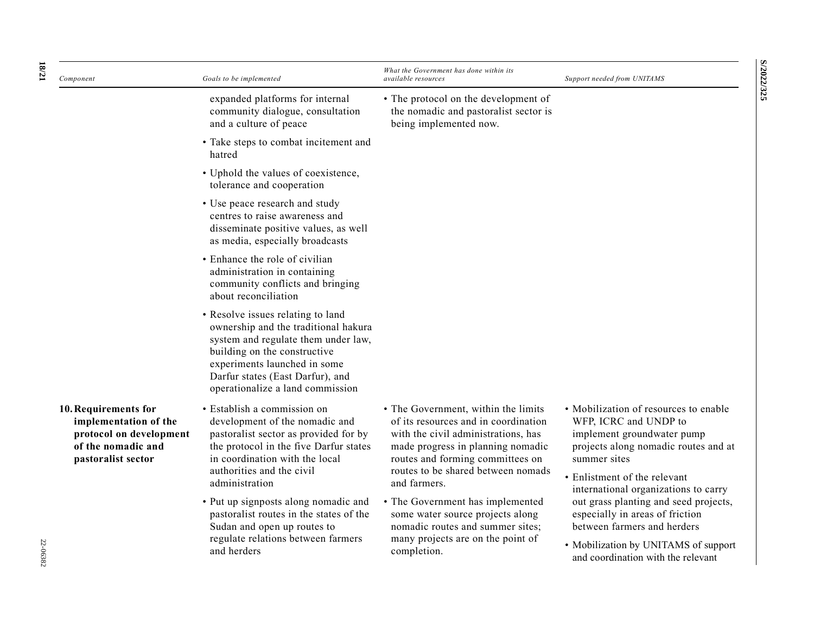| 18/21    | Component                                                                                                            | Goals to be implemented                                                                                                                                                                                                                                  | What the Government has done within its<br>available resources                                                                                                                                                                    | Support needed from UNITAMS                                                                                                                                                                                                                                   |
|----------|----------------------------------------------------------------------------------------------------------------------|----------------------------------------------------------------------------------------------------------------------------------------------------------------------------------------------------------------------------------------------------------|-----------------------------------------------------------------------------------------------------------------------------------------------------------------------------------------------------------------------------------|---------------------------------------------------------------------------------------------------------------------------------------------------------------------------------------------------------------------------------------------------------------|
|          |                                                                                                                      | expanded platforms for internal<br>community dialogue, consultation<br>and a culture of peace                                                                                                                                                            | • The protocol on the development of<br>the nomadic and pastoralist sector is<br>being implemented now.                                                                                                                           |                                                                                                                                                                                                                                                               |
|          |                                                                                                                      | • Take steps to combat incitement and<br>hatred                                                                                                                                                                                                          |                                                                                                                                                                                                                                   |                                                                                                                                                                                                                                                               |
|          |                                                                                                                      | • Uphold the values of coexistence,<br>tolerance and cooperation                                                                                                                                                                                         |                                                                                                                                                                                                                                   |                                                                                                                                                                                                                                                               |
|          |                                                                                                                      | • Use peace research and study<br>centres to raise awareness and<br>disseminate positive values, as well<br>as media, especially broadcasts                                                                                                              |                                                                                                                                                                                                                                   |                                                                                                                                                                                                                                                               |
|          |                                                                                                                      | • Enhance the role of civilian<br>administration in containing<br>community conflicts and bringing<br>about reconciliation                                                                                                                               |                                                                                                                                                                                                                                   |                                                                                                                                                                                                                                                               |
|          |                                                                                                                      | • Resolve issues relating to land<br>ownership and the traditional hakura<br>system and regulate them under law,<br>building on the constructive<br>experiments launched in some<br>Darfur states (East Darfur), and<br>operationalize a land commission |                                                                                                                                                                                                                                   |                                                                                                                                                                                                                                                               |
|          | 10. Requirements for<br>implementation of the<br>protocol on development<br>of the nomadic and<br>pastoralist sector | · Establish a commission on<br>development of the nomadic and<br>pastoralist sector as provided for by<br>the protocol in the five Darfur states<br>in coordination with the local<br>authorities and the civil                                          | • The Government, within the limits<br>of its resources and in coordination<br>with the civil administrations, has<br>made progress in planning nomadic<br>routes and forming committees on<br>routes to be shared between nomads | • Mobilization of resources to enable<br>WFP, ICRC and UNDP to<br>implement groundwater pump<br>projects along nomadic routes and at<br>summer sites                                                                                                          |
| 22-06382 |                                                                                                                      | administration<br>• Put up signposts along nomadic and<br>pastoralist routes in the states of the<br>Sudan and open up routes to<br>regulate relations between farmers<br>and herders                                                                    | and farmers.<br>• The Government has implemented<br>some water source projects along<br>nomadic routes and summer sites;<br>many projects are on the point of<br>completion.                                                      | • Enlistment of the relevant<br>international organizations to carry<br>out grass planting and seed projects,<br>especially in areas of friction<br>between farmers and herders<br>• Mobilization by UNITAMS of support<br>and coordination with the relevant |

**S/2022/325 S/2022/325**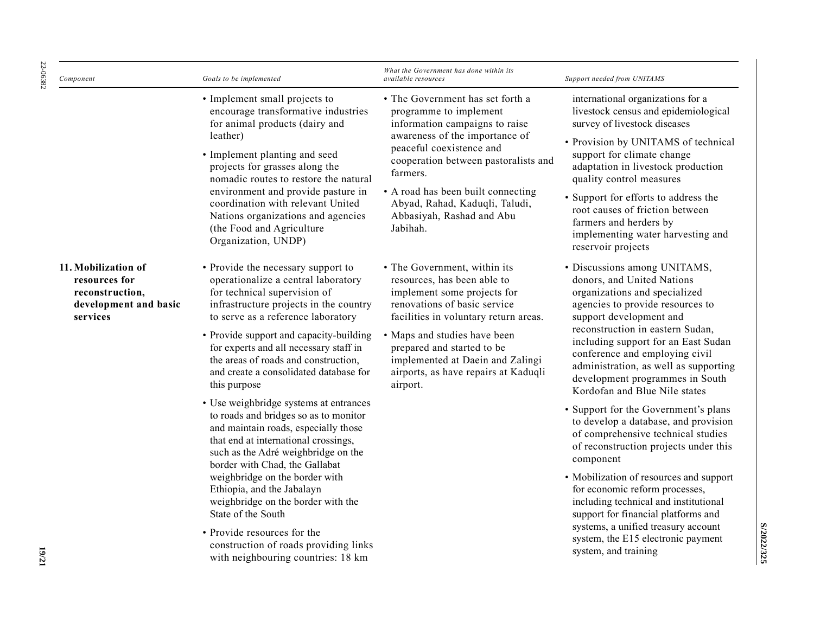| Component                                                                                    | Goals to be implemented                                                                                                                                                                                                                                                                                                                                                                                                                  | What the Government has done within its<br><i>available resources</i>                                                                                                                                                                                                                                                           | Support needed from UNITAMS                                                                                                                                                                                                                                                                                                                                                                                                                |
|----------------------------------------------------------------------------------------------|------------------------------------------------------------------------------------------------------------------------------------------------------------------------------------------------------------------------------------------------------------------------------------------------------------------------------------------------------------------------------------------------------------------------------------------|---------------------------------------------------------------------------------------------------------------------------------------------------------------------------------------------------------------------------------------------------------------------------------------------------------------------------------|--------------------------------------------------------------------------------------------------------------------------------------------------------------------------------------------------------------------------------------------------------------------------------------------------------------------------------------------------------------------------------------------------------------------------------------------|
|                                                                                              | • Implement small projects to<br>encourage transformative industries<br>for animal products (dairy and<br>leather)<br>• Implement planting and seed<br>projects for grasses along the<br>nomadic routes to restore the natural<br>environment and provide pasture in<br>coordination with relevant United<br>Nations organizations and agencies<br>(the Food and Agriculture<br>Organization, UNDP)                                      | • The Government has set forth a<br>programme to implement<br>information campaigns to raise<br>awareness of the importance of<br>peaceful coexistence and<br>cooperation between pastoralists and<br>farmers.<br>• A road has been built connecting<br>Abyad, Rahad, Kaduqli, Taludi,<br>Abbasiyah, Rashad and Abu<br>Jabihah. | international organizations for a<br>livestock census and epidemiological<br>survey of livestock diseases<br>• Provision by UNITAMS of technical<br>support for climate change<br>adaptation in livestock production<br>quality control measures<br>• Support for efforts to address the<br>root causes of friction between<br>farmers and herders by<br>implementing water harvesting and<br>reservoir projects                           |
| 11. Mobilization of<br>resources for<br>reconstruction,<br>development and basic<br>services | • Provide the necessary support to<br>operationalize a central laboratory<br>for technical supervision of<br>infrastructure projects in the country<br>to serve as a reference laboratory<br>• Provide support and capacity-building<br>for experts and all necessary staff in<br>the areas of roads and construction,<br>and create a consolidated database for<br>this purpose<br>• Use weighbridge systems at entrances               | • The Government, within its<br>resources, has been able to<br>implement some projects for<br>renovations of basic service<br>facilities in voluntary return areas.<br>• Maps and studies have been<br>prepared and started to be<br>implemented at Daein and Zalingi<br>airports, as have repairs at Kaduqli<br>airport.       | · Discussions among UNITAMS,<br>donors, and United Nations<br>organizations and specialized<br>agencies to provide resources to<br>support development and<br>reconstruction in eastern Sudan,<br>including support for an East Sudan<br>conference and employing civil<br>administration, as well as supporting<br>development programmes in South<br>Kordofan and Blue Nile states                                                       |
|                                                                                              | to roads and bridges so as to monitor<br>and maintain roads, especially those<br>that end at international crossings,<br>such as the Adré weighbridge on the<br>border with Chad, the Gallabat<br>weighbridge on the border with<br>Ethiopia, and the Jabalayn<br>weighbridge on the border with the<br>State of the South<br>• Provide resources for the<br>construction of roads providing links<br>with neighbouring countries: 18 km |                                                                                                                                                                                                                                                                                                                                 | • Support for the Government's plans<br>to develop a database, and provision<br>of comprehensive technical studies<br>of reconstruction projects under this<br>component<br>• Mobilization of resources and support<br>for economic reform processes,<br>including technical and institutional<br>support for financial platforms and<br>systems, a unified treasury account<br>system, the E15 electronic payment<br>system, and training |

**S/2022/325**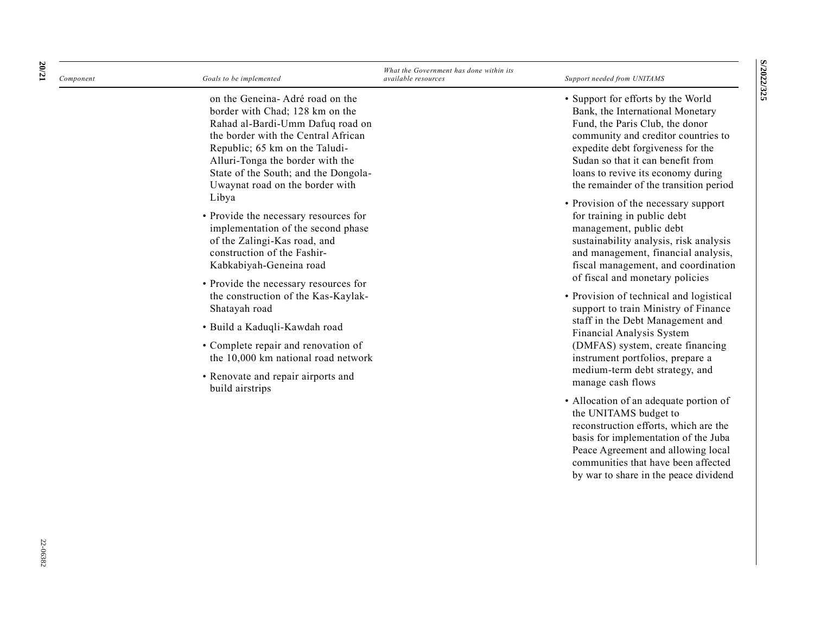| Component | Goals to be implemented                                                                                                                                                                                                                                                                                          | What the Government has done within its<br>available resources | Support needed from UNITAMS                                                                                                                                                                                                                                                                                                                                                                                                                                                                                                                  |
|-----------|------------------------------------------------------------------------------------------------------------------------------------------------------------------------------------------------------------------------------------------------------------------------------------------------------------------|----------------------------------------------------------------|----------------------------------------------------------------------------------------------------------------------------------------------------------------------------------------------------------------------------------------------------------------------------------------------------------------------------------------------------------------------------------------------------------------------------------------------------------------------------------------------------------------------------------------------|
|           | on the Geneina-Adré road on the<br>border with Chad; 128 km on the<br>Rahad al-Bardi-Umm Dafuq road on<br>the border with the Central African<br>Republic; 65 km on the Taludi-<br>Alluri-Tonga the border with the<br>State of the South; and the Dongola-<br>Uwaynat road on the border with                   |                                                                | • Support for efforts by the World<br>Bank, the International Monetary<br>Fund, the Paris Club, the donor<br>community and creditor countries to<br>expedite debt forgiveness for the<br>Sudan so that it can benefit from<br>loans to revive its economy during<br>the remainder of the transition period                                                                                                                                                                                                                                   |
|           | Libya<br>• Provide the necessary resources for<br>implementation of the second phase<br>of the Zalingi-Kas road, and<br>construction of the Fashir-<br>Kabkabiyah-Geneina road<br>• Provide the necessary resources for<br>the construction of the Kas-Kaylak-<br>Shatayah road<br>· Build a Kaduqli-Kawdah road |                                                                | • Provision of the necessary support<br>for training in public debt<br>management, public debt<br>sustainability analysis, risk analysis<br>and management, financial analysis,<br>fiscal management, and coordination<br>of fiscal and monetary policies<br>• Provision of technical and logistical<br>support to train Ministry of Finance<br>staff in the Debt Management and<br>Financial Analysis System<br>(DMFAS) system, create financing<br>instrument portfolios, prepare a<br>medium-term debt strategy, and<br>manage cash flows |
|           | • Complete repair and renovation of<br>the 10,000 km national road network<br>• Renovate and repair airports and<br>build airstrips                                                                                                                                                                              |                                                                |                                                                                                                                                                                                                                                                                                                                                                                                                                                                                                                                              |
|           |                                                                                                                                                                                                                                                                                                                  |                                                                | • Allocation of an adequate portion of<br>the UNITAMS budget to<br>reconstruction efforts, which are the<br>basis for implementation of the Juba<br>Peace Agreement and allowing local<br>communities that have been affected<br>by war to share in the peace dividend                                                                                                                                                                                                                                                                       |

**S/2022/325**